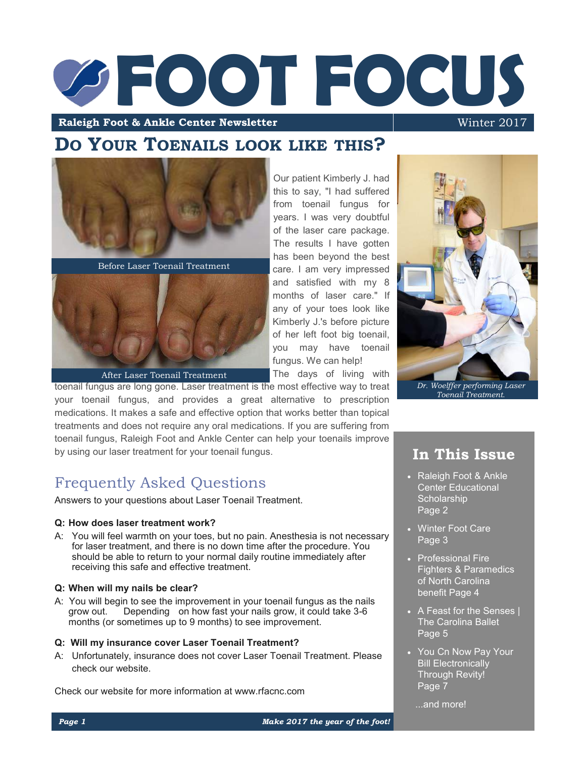# **Foot & Ankle Center Newsletter Winter 2017**

care. I am very impressed and satisfied with my 8 months of laser care." If any of your toes look like Kimberly J.'s before picture of her left foot big toenail, you may have toenail fungus. We can help! The days of living with

**Raleigh Foot & Ankle Center Newsletter** 

# **DO YOUR TOENAILS LOOK LIKE THIS?**



Before Laser Toenail Treatment



After Laser Toenail Treatment

toenail fungus are long gone. Laser treatment is the most effective way to treat your toenail fungus, and provides a great alternative to prescription medications. It makes a safe and effective option that works better than topical treatments and does not require any oral medications. If you are suffering from toenail fungus, Raleigh Foot and Ankle Center can help your toenails improve by using our laser treatment for your toenail fungus.

# Frequently Asked Questions

Answers to your questions about Laser Toenail Treatment.

### **Q: How does laser treatment work?**

A: You will feel warmth on your toes, but no pain. Anesthesia is not necessary for laser treatment, and there is no down time after the procedure. You should be able to return to your normal daily routine immediately after receiving this safe and effective treatment.

### **Q: When will my nails be clear?**

A: You will begin to see the improvement in your toenail fungus as the nails grow out. Depending on how fast your nails grow, it could take 3-6 Depending on how fast your nails grow, it could take 3-6 months (or sometimes up to 9 months) to see improvement.

### **Q: Will my insurance cover Laser Toenail Treatment?**

A: Unfortunately, insurance does not cover Laser Toenail Treatment. Please check our website.

Check our website for more information at www.rfacnc.com



# **In This Issue**

- Raleigh Foot & Ankle Center Educational **Scholarship** Page 2
- Winter Foot Care Page 3
- Professional Fire Fighters & Paramedics of North Carolina benefit Page 4
- A Feast for the Senses | The Carolina Ballet Page 5
- You Cn Now Pay Your Bill Electronically Through Revity! Page 7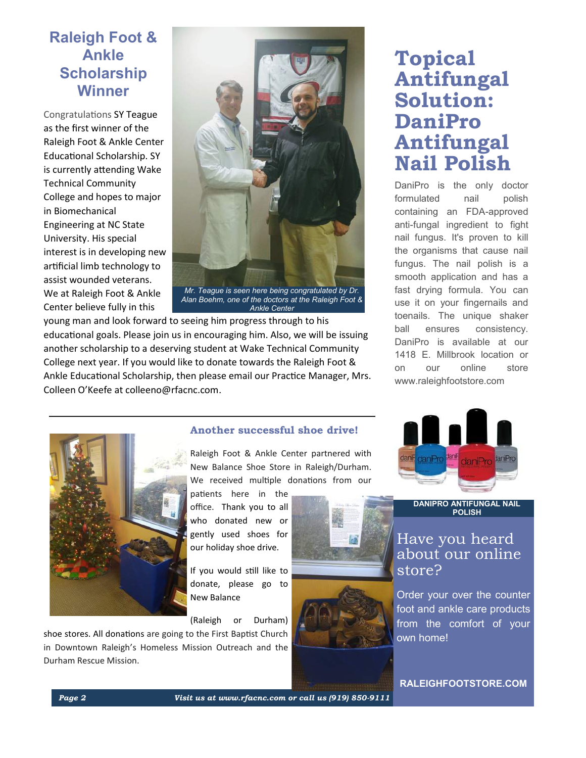# **Raleigh Foot & Ankle Scholarship Winner**

Congratulations SY Teague as the first winner of the Raleigh Foot & Ankle Center Educational Scholarship. SY is currently attending Wake Technical Community College and hopes to major in Biomechanical Engineering at NC State University. His special interest is in developing new artificial limb technology to assist wounded veterans. We at Raleigh Foot & Ankle Center believe fully in this



*Ankle Center*

young man and look forward to seeing him progress through to his educational goals. Please join us in encouraging him. Also, we will be issuing another scholarship to a deserving student at Wake Technical Community College next year. If you would like to donate towards the Raleigh Foot & Ankle Educational Scholarship, then please email our Practice Manager, Mrs. Colleen O'Keefe at [colleeno@rfacnc.com](mailto:colleeno@rfacnc.com).

# **Topical Antifungal Solution: DaniPro Antifungal Nail Polish**

DaniPro is the only doctor formulated nail polish containing an FDA-approved anti-fungal ingredient to fight nail fungus. It's proven to kill the organisms that cause nail fungus. The nail polish is a smooth application and has a fast drying formula. You can use it on your fingernails and toenails. The unique shaker ball ensures consistency. DaniPro is available at our 1418 E. Millbrook location or on our online store www.raleighfootstore.com



### **Another successful shoe drive!**

Raleigh Foot & Ankle Center partnered with New Balance Shoe Store in Raleigh/Durham. We received multiple donations from our

patients here in the office. Thank you to all who donated new or gently used shoes for our holiday shoe drive.

If you would still like to donate, please go to New Balance

(Raleigh or Durham)

shoe stores. All donations are going to the First Baptist Church in Downtown Raleigh's Homeless Mission Outreach and the Durham Rescue Mission.







**DANIPRO ANTIFUNGAL NAIL POLISH** 

# Have you heard about our online store?

Order your over the counter foot and ankle care products from the comfort of your own home!

**RALEIGHFOOTSTORE.COM**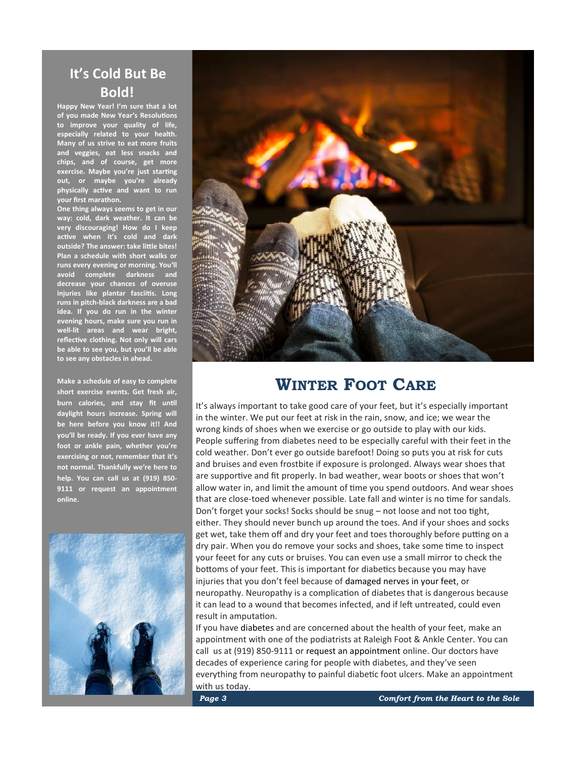# **It's Cold But Be Bold!**

**Happy New Year! I'm sure that a lot of you made New Year's Resolutions to improve your quality of life, especially related to your health. Many of us strive to eat more fruits and veggies, eat less snacks and chips, and of course, get more exercise. Maybe you're just starting out, or maybe you're already physically active and want to run your first marathon.**

**One thing always seems to get in our way: cold, dark weather. It can be very discouraging! How do I keep active when it's cold and dark outside? The answer: take little bites! Plan a schedule with short walks or runs every evening or morning. You'll avoid complete darkness and decrease your chances of overuse injuries like [plantar fasciitis.](http://www.raleighfootandanklecenter.com/our-services/plantar-fasciitis) Long runs in pitch-black darkness are a bad idea. If you do run in the winter evening hours, make sure you run in well-lit areas and wear bright, reflective clothing. Not only will cars be able to see you, but you'll be able to see any obstacles in ahead.**

**Make a schedule of easy to complete short exercise events. Get fresh air, burn calories, and stay fit until daylight hours increase. Spring will be here before you know it!! And you'll be ready. If you ever have any foot or ankle pain, whether you're exercising or not, remember that it's not normal. Thankfully we're here to help. You can call us at (919) 850- 9111 or request an appointment online.**





# **WINTER FOOT CARE**

It's always important to take good care of your feet, but it's especially important in the winter. We put our feet at risk in the rain, snow, and ice; we wear the wrong kinds of shoes when we exercise or go outside to play with our kids. People suffering from diabetes need to be especially careful with their feet in the cold weather. Don't ever go outside barefoot! Doing so puts you at risk for cuts and bruises and even frostbite if exposure is prolonged. Always wear shoes that are supportive and fit properly. In bad weather, wear boots or shoes that won't allow water in, and limit the amount of time you spend outdoors. And wear shoes that are close-toed whenever possible. Late fall and winter is no time for sandals. Don't forget your socks! Socks should be snug – not loose and not too tight, either. They should never bunch up around the toes. And if your shoes and socks get wet, take them off and dry your feet and toes thoroughly before putting on a dry pair. When you do remove your socks and shoes, take some time to inspect your feeet for any cuts or bruises. You can even use a small mirror to check the bottoms of your feet. This is important for diabetics because you may have injuries that you don't feel because of [damaged nerves in your feet,](http://www.raleighfootandanklecenter.com/our-services/neuropathy) or neuropathy. Neuropathy is a complication of diabetes that is dangerous because it can lead to a wound that becomes infected, and if left untreated, could even result in amputation.

If you have [diabetes](http://www.raleighfootandanklecenter.com/our-services/diabetic-foot-care) and are concerned about the health of your feet, make an appointment with one of the podiatrists at Raleigh Foot & Ankle Center. You can call us at (919) 850-9111 or [request an appointment](http://www.raleighfootandanklecenter.com/request-an-appointment) online. Our doctors have decades of experience caring for people with diabetes, and they've seen everything from neuropathy to painful diabetic foot ulcers. Make an appointment with us today.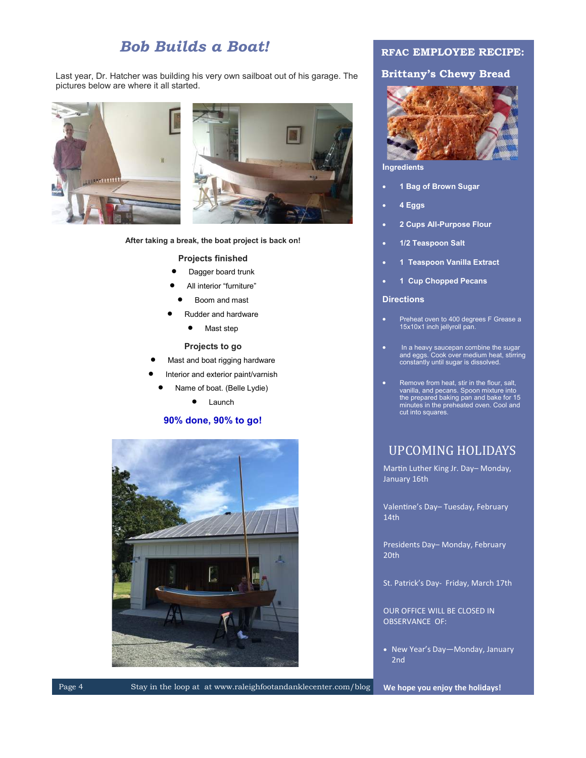# *Bob Builds a Boat!*

Last year, Dr. Hatcher was building his very own sailboat out of his garage. The pictures below are where it all started.



**After taking a break, the boat project is back on!**

### **Projects finished**

- Dagger board trunk
- All interior "furniture"
- Boom and mast
- Rudder and hardware
	- Mast step

### **Projects to go**

- Mast and boat rigging hardware
- Interior and exterior paint/varnish
	- Name of boat. (Belle Lydie)

• Launch

### **90% done, 90% to go!**



### **RFAC EMPLOYEE RECIPE:**

### **Brittany's Chewy Bread**



**Ingredients**

- **1 Bag of Brown Sugar**
- **4 Eggs**
- **2 Cups All-Purpose Flour**
- **1/2 Teaspoon Salt**
- **1 Teaspoon Vanilla Extract**
- **1 Cup Chopped Pecans**

### **Directions**

- Preheat oven to 400 degrees F Grease a 15x10x1 inch jellyroll pan.
- In a heavy saucepan combine the sugar and eggs. Cook over medium heat, stirring constantly until sugar is dissolved.
- Remove from heat, stir in the flour, salt, vanilla, and pecans. Spoon mixture into the prepared baking pan and bake for 15 minutes in the preheated oven. Cool and cut into squares.

### UPCOMING HOLIDAYS

Martin Luther King Jr. Day– Monday, January 16th

Valentine's Day– Tuesday, February 14th

Presidents Day– Monday, February 20th

St. Patrick's Day- Friday, March 17th

OUR OFFICE WILL BE CLOSED IN OBSERVANCE OF:

• New Year's Day-Monday, January 2nd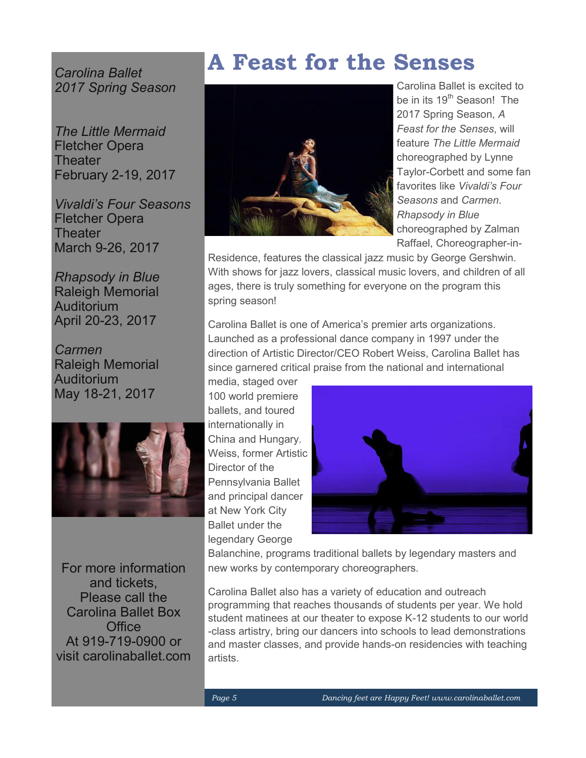*Carolina Ballet 2017 Spring Season*

*The Little Mermaid* Fletcher Opera **Theater** February 2-19, 2017

*Vivaldi's Four Seasons* Fletcher Opera **Theater** March 9-26, 2017

*Rhapsody in Blue* Raleigh Memorial Auditorium April 20-23, 2017

*Carmen* Raleigh Memorial Auditorium May 18-21, 2017



For more information and tickets, Please call the Carolina Ballet Box **Office** At 919-719-0900 or visit carolinaballet.com

# **A Feast for the Senses**



Carolina Ballet is excited to be in its 19<sup>th</sup> Season! The 2017 Spring Season, *A Feast for the Senses*, will feature *The Little Mermaid*  choreographed by Lynne Taylor-Corbett and some fan favorites like *Vivaldi's Four Seasons* and *Carmen*. *Rhapsody in Blue* choreographed by Zalman Raffael, Choreographer-in-

Residence, features the classical jazz music by George Gershwin. With shows for jazz lovers, classical music lovers, and children of all ages, there is truly something for everyone on the program this spring season!

Carolina Ballet is one of America's premier arts organizations. Launched as a professional dance company in 1997 under the direction of Artistic Director/CEO Robert Weiss, Carolina Ballet has since garnered critical praise from the national and international

media, staged over 100 world premiere ballets, and toured internationally in China and Hungary. Weiss, former Artistic Director of the Pennsylvania Ballet and principal dancer at New York City Ballet under the legendary George



Balanchine, programs traditional ballets by legendary masters and new works by contemporary choreographers.

Carolina Ballet also has a variety of education and outreach programming that reaches thousands of students per year. We hold student matinees at our theater to expose K-12 students to our world -class artistry, bring our dancers into schools to lead demonstrations and master classes, and provide hands-on residencies with teaching artists.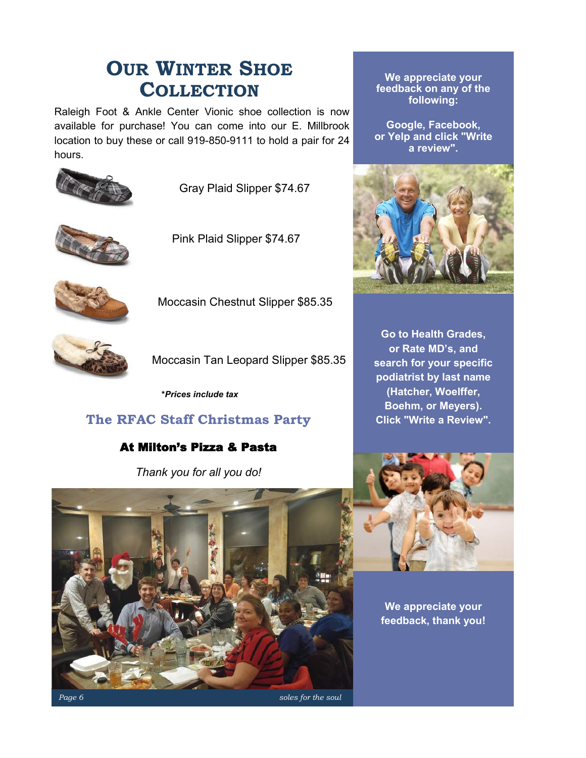# **OUR WINTER SHOE COLLECTION**

Raleigh Foot & Ankle Center Vionic shoe collection is now available for purchase! You can come into our E. Millbrook location to buy these or call 919-850-9111 to hold a pair for 24 hours.



Gray Plaid Slipper \$74.67



Pink Plaid Slipper \$74.67



Moccasin Chestnut Slipper \$85.35



Moccasin Tan Leopard Slipper \$85.35

**\****Prices include tax*

# **The RFAC Staff Christmas Party**

## At Milton's Pizza & Pasta

*Thank you for all you do!* 



**Google, Facebook, or Yelp and click "Write a review".**



**Go to Health Grades, or Rate MD's, and search for your specific podiatrist by last name (Hatcher, Woelffer, Boehm, or Meyers). Click "Write a Review".**



**We appreciate your feedback, thank you!**

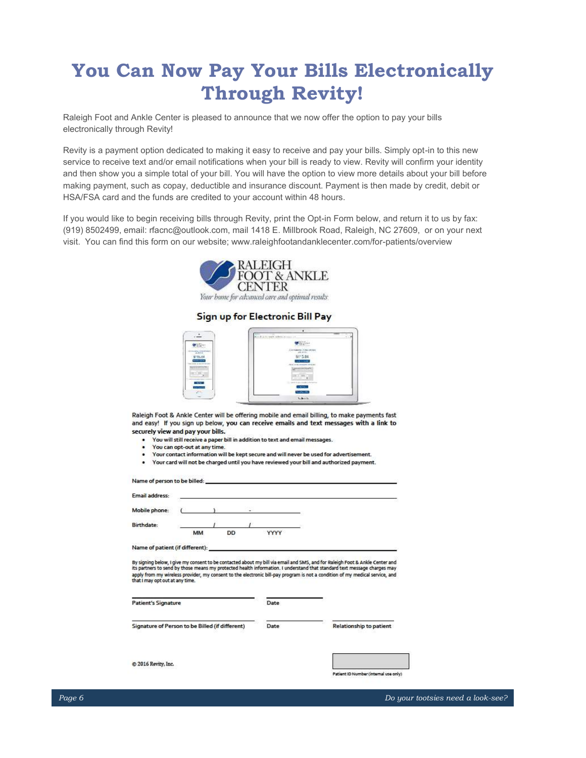# **You Can Now Pay Your Bills Electronically Through Revity!**

Raleigh Foot and Ankle Center is pleased to announce that we now offer the option to pay your bills electronically through Revity!

Revity is a payment option dedicated to making it easy to receive and pay your bills. Simply opt-in to this new service to receive text and/or email notifications when your bill is ready to view. Revity will confirm your identity and then show you a simple total of your bill. You will have the option to view more details about your bill before making payment, such as copay, deductible and insurance discount. Payment is then made by credit, debit or HSA/FSA card and the funds are credited to your account within 48 hours.

If you would like to begin receiving bills through Revity, print the Opt-in Form below, and return it to us by fax: (919) 8502499, email: rfacnc@outlook.com, mail 1418 E. Millbrook Road, Raleigh, NC 27609, or on your next visit. You can find this form on our website; www.raleighfootandanklecenter.com/for-patients/overview



### Sign up for Electronic Bill Pay

|                                                | ٠<br>$1.14 - 1.04$                             |  |
|------------------------------------------------|------------------------------------------------|--|
|                                                | <b>Burnit when you are</b>                     |  |
|                                                |                                                |  |
| <b>MOOTH</b><br><b>Play International</b>      | at instants; or his work<br>details.           |  |
| 5115.64                                        | $$1^{\circ}5.84$                               |  |
| ------<br>the substitute the form of the state | <b>CERTIFICATE</b><br><b>BUCHER HERRY PERK</b> |  |
| <b>SERIES</b><br>$\sim$                        | -----                                          |  |
|                                                | <b>Section Service</b>                         |  |
| 100000                                         | τ<br>__<br>--<br>content attentions            |  |
| $\overline{\mathcal{M}}$<br><b>STEP</b>        | <b>DOM:</b>                                    |  |
|                                                | <b><i><u>Secondary</u></i></b>                 |  |
|                                                | <b>School</b>                                  |  |

Raleigh Foot & Ankle Center will be offering mobile and email billing, to make payments fast and easy! If you sign up below, you can receive emails and text messages with a link to securely view and pay your bills.

- You will still receive a paper bill in addition to text and email messages.
- You can opt-out at any time.
- Your contact information will be kept secure and will never be used for advertisement.
- Your card will not be charged until you have reviewed your bill and authorized payment.

Name of person to be billed: **Email address:** Mobile phone: **Birthdate:** MM DD YYYY Name of patient (if different):

By signing below, I give my consent to be contacted about my bill via email and SMS, and for Raleigh Foot & Ankle Center and<br>its partners to send by those means my protected health information. I understand that standard t apply from my wireless provider, my consent to the electronic bill-pay program is not a condition of my medical service, and<br>that I may opt out at any time.

| <b>Patient's Signature</b>                      | Date |                                |
|-------------------------------------------------|------|--------------------------------|
| Signature of Person to be Billed (if different) | Date | <b>Relationship to patient</b> |
| @ 2016 Revity, Inc.                             |      |                                |

Patient ID Number (internal use only)